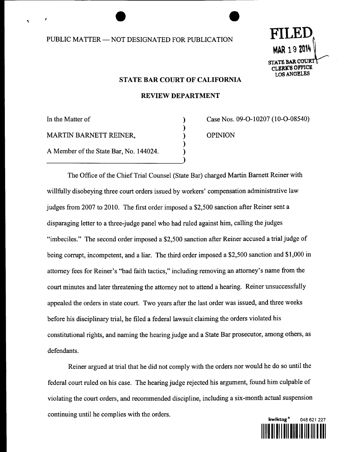## PUBLIC MATTER -- NOT DESIGNATED FOR PUBLICATION



#### STATE **BAR** COURT OF CALIFORNIA

#### REVIEW DEPARTMENT

 $\mathcal{C}$ ⟩

In the Matter of MARTIN BARNETT REINER, A Member of the State Bar, No. 144024. Case Nos. 09-0-10207 (10-O-08540) OPINION

The Office of the Chief Trial Counsel (State Bar) charged Martin Barnett Reiner with willfully disobeying three court orders issued by workers' compensation administrative law judges from 2007 to 2010. The first order imposed a \$2,500 sanction after Reiner sent a disparaging letter to a three-judge panel who had ruled against him, calling the judges "imbeciles." The second order imposed a \$2,500 sanction after Reiner accused a trial judge of being corrupt, incompetent, and a liar. The third order imposed a \$2,500 sanction and \$1,000 in attorney fees for Reiner's "bad faith tactics," including removing an attorney's name from the court minutes and later threatening the attorney not to attend a hearing. Reiner unsuccessfully appealed the orders in state court. Two years after the last order was issued, and three weeks before his disciplinary trial, he filed a federal lawsuit claiming the orders violated his constitutional rights, and naming the hearing judge and a State Bar prosecutor, among others, as defendants.

Reiner argued at trial that he did not comply with the orders nor would he do so until the federal court ruled on his case. The hearing judge rejected his argument, found him culpable of violating the court orders, and recommended discipline, including a six-month actual suspension continuing until he complies with the orders.

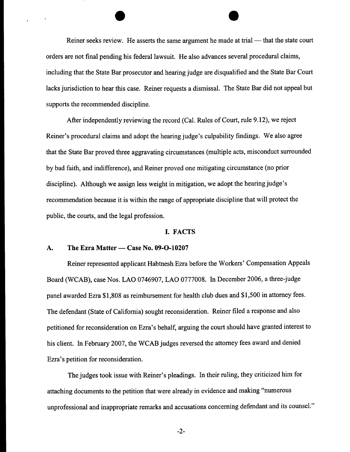Reiner seeks review. He asserts the same argument he made at trial -- that the state court orders are not final pending his federal lawsuit. He also advances several procedural claims, including that the State Bar prosecutor and hearing judge are disqualified and the State Bar Court lacks jurisdiction to hear this case. Reiner requests a dismissal. The State Bar did not appeal but supports the recommended discipline.

After independently reviewing the record (Cal. Rules of Court, rule 9.12), we reject Reiner's procedural claims and adopt the hearing judge's culpability findings. We also agree that the State Bar proved three aggravating circumstances (multiple acts, misconduct surrounded by bad faith, and indifference), and Reiner proved one mitigating circumstance (no prior discipline). Although we assign less weight in mitigation, we adopt the hearing judge's recommendation because it is within the range of appropriate discipline that will protect the public, the courts, and the legal profession.

#### I. FACTS

#### A. The Ezra Matter — Case No. 09-O-10207

 $\blacktriangleleft$ 

Reiner represented applicant Habtnesh Ezra before the Workers' Compensation Appeals Board (WCAB), case Nos. LAO 0746907, LAO 0777008. In December 2006, a three-judge panel awarded Ezra \$1,808 as reimbursement for health club dues and \$1,500 in attorney fees. The defendant (State of California) sought reconsideration. Reiner filed a response and also petitioned for reconsideration on Ezra's behalf, arguing the court should have granted interest to his client. In February 2007, the WCAB judges reversed the attorney fees award and denied Ezra's petition for reconsideration.

The judges took issue with Reiner's pleadings. In their ruling, they criticized him for attaching documents to the petition that were already in evidence and making "numerous unprofessional and inappropriate remarks and accusations concerning defendant and its counsel."

-2-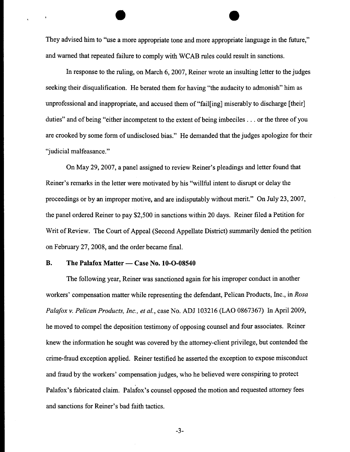They advised him to "use a more appropriate tone and more appropriate language in the future," and warned that repeated failure to comply with WCAB rules could result in sanctions.

In response to the ruling, on March 6, 2007, Reiner wrote an insulting letter to the judges seeking their disqualification. He berated them for having "the audacity to admonish" him as unprofessional and inappropriate, and accused them of "fail[ing] miserably to discharge [their] duties" and of being "either incompetent to the extent of being imbeciles.., or the three of you are crooked by some form of undisclosed bias." He demanded that the judges apologize for their "judicial malfeasance."

On May 29, 2007, a panel assigned to review Reiner's pleadings and letter found that Reiner's remarks in the letter were motivated by his "willful intent to disrupt or delay the proceedings or by an improper motive, and are indisputably without merit." On July 23, 2007, the panel ordered Reiner to pay \$2,500 in sanctions within 20 days. Reiner filed a Petition for Writ of Review. The Court of Appeal (Second Appellate District) summarily denied the petition on February 27, 2008, and the order became final.

#### **B.** The Palafox Matter — Case No. 10-O-08540

The following year, Reiner was sanctioned again for his improper conduct in another workers' compensation matter while representing the defendant, Pelican Products, Inc., in *Rosa Palafox v. Pelican Products, Inc., et al.,* case No. ADJ 103216 (LAO 0867367) In April 2009, he moved to compel the deposition testimony of opposing counsel and four associates. Reiner knew the information he sought was covered by the attorney-client privilege, but contended the crime-fraud exception applied. Reiner testified he asserted the exception to expose misconduct and fraud by the workers' compensation judges, who he believed were conspiring to protect Palafox's fabricated claim. Palafox's counsel opposed the motion and requested attorney fees and sanctions for Reiner's bad faith tactics.

-3-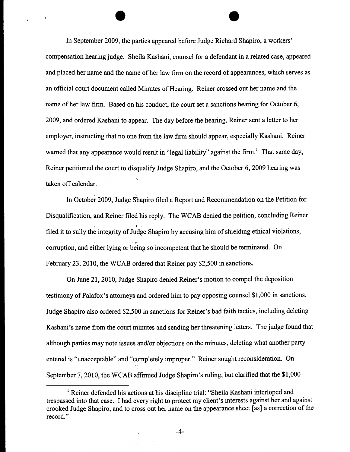In September 2009, the parties appeared before Judge Richard Shapiro, a workers' compensation hearing judge. Sheila Kashani, counsel for a defendant in a related case, appeared and placed her name and the name of her law firm on the record of appearances, which serves as an official court document called Minutes of Hearing. Reiner crossed out her name and the name of her law firm. Based on his conduct, the court set a sanctions hearing for October 6, 2009, and ordered Kashani to appear. The day before the hearing, Reiner sent a letter to her employer, instructing that no one from the law firm should appear, especially Kashani. Reiner warned that any appearance would result in "legal liability" against the firm.<sup>1</sup> That same day, Reiner petitioned the court to disqualify Judge Shapiro, and the October 6, 2009 hearing was taken off calendar.

In October 2009, Judge Shapiro filed a Report and Recommendation on the Petition for Disqualification, and Reiner filed his reply. The WCAB denied the petition, concluding Reiner filed it to sully the integrity of Judge Shapiro by accusing him of shielding ethical violations, corruption, and either lying or being so incompetent that he should be terminated. On February 23, 2010, the WCAB ordered that Reiner pay \$2,500 in sanctions.

On June 21, 2010, Judge Shapiro denied Reiner's motion to compel the deposition testimony of Palafox's attorneys and ordered him to pay opposing counsel \$1,000 in sanctions. Judge Shapiro also ordered \$2,500 in sanctions for Reiner's bad faith tactics, including deleting Kashani's name from the court minutes and sending her threatening letters. The judge found that although parties may note issues and/or objections on the minutes, deleting what another party entered is "unacceptable" and "completely improper." Reiner sought reconsideration. On September 7, 2010, the WCAB affirmed Judge Shapiro's ruling, but clarified that the \$1,000

<sup>1</sup> Reiner defended his actions at his discipline trial: "Sheila Kashani interloped and trespassed into that case. I had every right to protect my client's interests against her and against crooked Judge Shapiro, and to cross out her name on the appearance sheet [as] a correction of the record."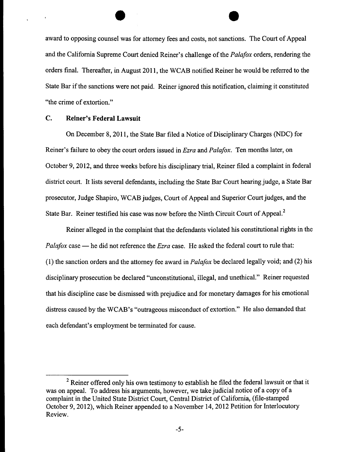award to opposing counsel was for attomey fees and costs, not sanctions. The Court of Appeal and the California Supreme Court denied Reiner's challenge of the *Palafox* orders, rendering the orders final. Thereafter, in August 2011, the WCAB notified Reiner he would be referred to the State Bar if the sanctions were not paid. Reiner ignored this notification, claiming it constituted "the crime of extortion."

#### C. **Reiner's Federal Lawsuit**

On December 8, 2011, the State Bar filed a Notice of Disciplinary Charges (NDC) for Reiner's failure to obey the court orders issued in *Ezra and Palafox.* Ten months later, on October 9, 2012, and three weeks before his disciplinary trial, Reiner filed a complaint in federal district court. It lists several defendants, including the State Bar Court hearing judge, a State Bar prosecutor, Judge Shapiro, WCAB judges, Court of Appeal and Superior Court judges, and the State Bar. Reiner testified his case was now before the Ninth Circuit Court of Appeal.2

Reiner alleged in the complaint that the defendants violated his constitutional rights in the *Palafox* case — he did not reference the *Ezra* case. He asked the federal court to rule that: (1) the sanction orders and the attorney fee award in *Palafox* be declared legally void; and (2) his disciplinary prosecution be declared "unconstitutional, illegal, and unethical." Reiner requested that his discipline case be dismissed with prejudice and for monetary damages for his emotional distress caused by the WCAB's "outrageous misconduct of extortion." He also demanded that each defendant's employment be terminated for cause.

<sup>&</sup>lt;sup>2</sup> Reiner offered only his own testimony to establish he filed the federal lawsuit or that it was on appeal. To address his arguments, however, we take judicial notice of a copy of a complaint in the United State District Court, Central District of California, (file-stamped October 9, 2012), which Reiner appended to a November 14, 2012 Petition for Interlocutory Review.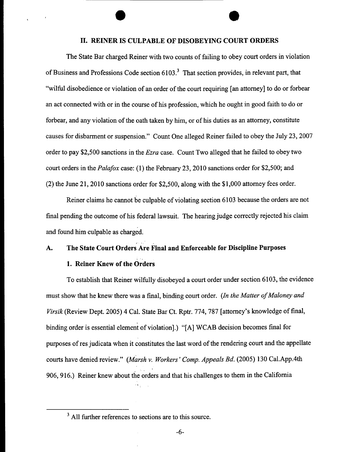## **II. REINER IS CULPABLE OF DISOBEYING COURT ORDERS**

The State Bar charged Reiner with two counts of failing to obey court orders in violation of Business and Professions Code section  $6103<sup>3</sup>$ . That section provides, in relevant part, that "wilful disobedience or violation of an order of the court requiring [an attorney] to do or forbear an act connected with or in the course of his profession, which he ought in good faith to do or forbear, and any violation of the oath taken by him, or of his duties as an attorney, constitute causes for disbarment or suspension." Count One alleged Reiner failed to obey the July 23, 2007 order to pay \$2,500 sanctions in the *Ezra* case. Count Two alleged that he failed to obey two court orders in the *Palafox* case: (1) the February 23, 2010 sanctions order for \$2,500; and (2) the June 21, 2010 sanctions order for \$2,500, along with the \$1,000 attorney fees order.

Reiner claims he cannot be culpable of violating section 6103 because the orders are not final pending the outcome of his federal lawsuit. The hearing judge correctly rejected his claim and found him culpable as charged.

## A. The State Court Orders Are Final and Enforceable for Discipline Purposes

## 1. Reiner Knew of the Orders

To establish that Reiner wilfully disobeyed a court order under section 6103, the evidence must show that he knew there was a final, binding court order. *(ln the Matter of Maloney and Virsik* (Review Dept. 2005) 4 Cal. State Bar Ct. Rptr. 774, 787 [attorney's knowledge of final, binding order is essential element of violation].) "[A] WCAB decision becomes final for purposes of res judicata when it constitutes the last word of the rendering court and the appellate courts have denied review." *(Marsh v. Workers' Comp. Appeals Bd.* (2005) 130 Cal.App.4th 906, 916.) Reiner knew about the orders and that his challenges to them in the California

<sup>&</sup>lt;sup>3</sup> All further references to sections are to this source.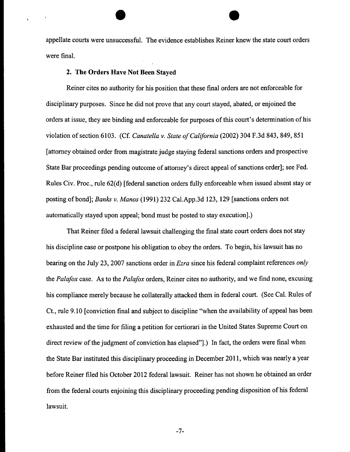appellate courts were unsuccessful. The evidence establishes Reiner knew the state court orders were final.

#### 2. The Orders Have Not Been Stayed

Reiner cites no authority for his position that these final orders are not enforceable for disciplinary purposes. Since he did not prove that any court stayed, abated, or enjoined the orders at issue, they are binding and enforceable for purposes of this court's determination of his violation of section 6103. (Cf. *Canatella v. State of California* (2002) 304 F.3d 843,849, 851 [attorney obtained order from magistrate judge staying federal sanctions orders and prospective State Bar proceedings pending outcome of attorney's direct appeal of sanctions order]; see Fed. Rules Civ. Proc., rule 62(d) [federal sanction orders fully enforceable when issued absent stay or posting of bond]; *Banks v. Manos* (1991) 232 Cal.App.3d 123, 129 [sanctions orders not automatically stayed upon appeal; bond must be posted to stay execution].)

That Reiner filed a federal lawsuit challenging the final state court orders does not stay his discipline case or postpone his obligation to obey the orders. To begin, his lawsuit has no bearing on the July 23, 2007 sanctions order in *Ezra* since his federal complaint references *only* the *Palafox* case. As to the *Palafox* orders, Reiner cites no authority, and we find none, excusing his compliance merely because he collaterally attacked them in federal court. (See Cal. Rules of Ct., rule 9.10 [conviction final and subject to discipline "when the availability of appeal has been exhausted and the time for filing a petition for certiorari in the United States Supreme Court on direct review of the judgment of conviction has elapsed"].) In fact, the orders were final when the State Bar instituted this disciplinary proceeding in December 2011, which was nearly a year before Reiner filed his October 2012 federal lawsuit. Reiner has not shown he obtained an order from the federal courts enjoining this disciplinary proceeding pending disposition of his federal lawsuit.

-7-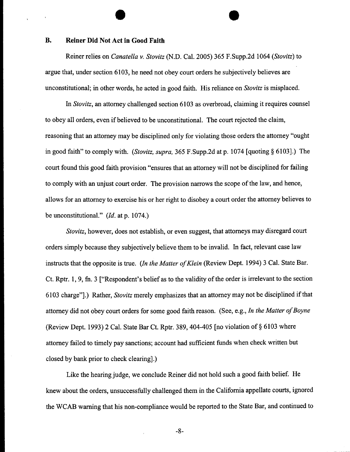#### **B. Reiner Did Not Act in Good Faith**

Reiner relies on *Canatella v. Stovitz* (N.D. Cal. 2005) 365 F.Supp.2d 1064 *(Stovitz)* to argue that, under section 6103, he need not obey court orders he subjectively believes are unconstitutional; in other words, he acted in good faith. His reliance on *Stovitz* is misplaced.

*In Stovitz,* an attorney challenged section 6103 as overbroad, claiming it requires counsel to obey all orders, even if believed to be unconstitutional. The court rejected the claim, reasoning that an attorney may be disciplined only for violating those orders the attorney "ought in good faith" to comply with. *(Stovitz, supra,* 365 F.Supp.2d at p. 1074 [quoting § 6103].) The court found this good faith provision "ensures that an attorney will not be disciplined for failing to comply with an unjust court order. The provision narrows the scope of the law, and hence, allows for an attorney to exercise his or her right to disobey a court order the attorney believes to be unconstitutional." *(Id.* at p. 1074.)

*Stovitz,* however, does not establish, or even suggest, that attorneys may disregard court orders simply because they subjectively believe them to be invalid. In fact, relevant case law instructs that the opposite is true. *(In the Matter of Klein* (Review Dept. 1994) 3 Cal. State Bar. Ct. Rptr. 1, 9, fn. 3 ["Respondent's belief as to the validity of the order is irrelevant to the section 6103 charge"].) Rather, *Stovitz* merely emphasizes that an attorney may not be disciplined if that attorney did not obey court orders for some good faith reason. (See, e.g., *In the Matter of Boyne* (Review Dept. 1993) 2 Cal. State Bar Ct. Rptr. 389, 404-405 [no violation of § 6103 where attorney failed to timely pay sanctions; account had sufficient funds when check written but closed by bank prior to check clearing].)

Like the hearing judge, we conclude Reiner did not hold such a good faith belief. He knew about the orders, unsuccessfully challenged them in the California appellate courts, ignored the WCAB warning that his non-compliance would be reported to the State Bar, and continued to

**-8-**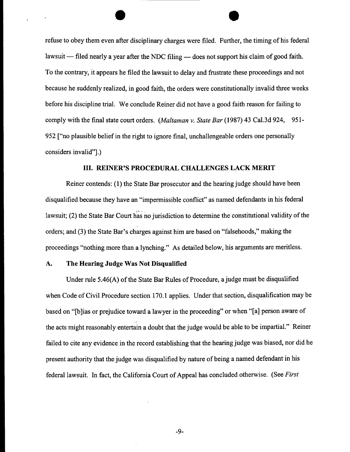refuse to obey them even after disciplinary charges were filed. Further, the timing of his federal lawsuit  $-$  filed nearly a year after the NDC filing  $-$  does not support his claim of good faith. To the contrary, it appears he filed the lawsuit to delay and frustrate these proceedings and not because he suddenly realized, in good faith, the orders were constitutionally invalid three weeks before his discipline trial. We conclude Reiner did not have a good faith reason for failing to comply with the final state court orders. *(Maltaman v. State Bar* (1987) 43 Cal.3d 924, 951- 952 ["no plausible belief in the right to ignore final, unchallengeable orders one personally considers invalid"].)

#### IlL REINER'S PROCEDURAL CHALLENGES LACK MERIT

Reiner contends: (1) the State Bar prosecutor and the hearing judge should have been disqualified because they have an "impermissible conflict" as named defendants in his federal lawsuit; (2) the State Bar Court has no jurisdiction to determine the constitutional validity of the orders; and (3) the State Bar's charges against him are based on "falsehoods," making the proceedings "nothing more than a lynching." As detailed below, his arguments are meritless.

#### **A. The Hearing Judge Was Not Disqualified**

Under rule 5.46(A) of the State Bar Rules of Procedure, a judge must be disqualified when Code of Civil Procedure section 170.1 applies. Under that section, disqualification may be based on "[b]ias or prejudice toward a lawyer in the proceeding" or when "[a] person aware of the acts might reasonably entertain a doubt that the judge would be able to be impartial." Reiner failed to cite any evidence in the record establishing that the hearing judge was biased, nor did he present authority that the judge was disqualified by nature of being a named defendant in his federal lawsuit. In fact, the California Court of Appeal has concluded otherwise. (See *First*

-9-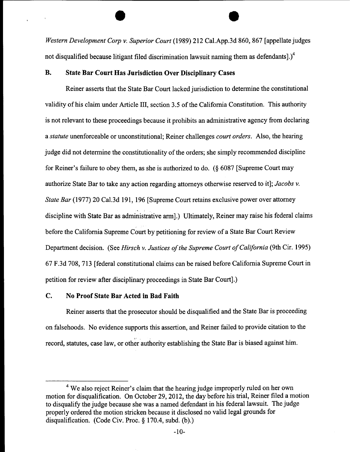*Western Development Corp v. Superior Court* (1989) 212 Cal.App.3d 860, 867 [appellate judges not disqualified because litigant filed discrimination lawsuit naming them as defendants]. $)^4$ 

## **B. State Bar Court Has Jurisdiction Over Disciplinary Cases**

Reiner asserts that the State Bar Court lacked jurisdiction to determine the constitutional validity of his claim under Article III, section 3.5 of the California Constitution. This authority is not relevant to these proceedings because it prohibits an administrative agency from declaring *a statute* unenforceable or unconstitutional; Reiner challenges *court orders.* Also, the hearing judge did not determine the constitutionality of the orders; she simply recommended discipline for Reiner's failure to obey them, as she is authorized to do. (§ 6087 [Supreme Court may authorize State Bar to take any action regarding attorneys otherwise reserved to it]; *Jacobs v. State Bar* (1977) 20 Cal.3d 191, 196 [Supreme Court retains exclusive power over attorney discipline with State Bar as administrative arm].) Ultimately, Reiner may raise his federal claims before the California Supreme Court by petitioning for review of a State Bar Court Review Department decision. (See *Hirsch v. Justices of the Supreme Court of California* (9th Cir. 1995) 67 F.3d 708, 713 [federal constitutional claims can be raised before California Supreme Court in petition for review after disciplinary proceedings in State Bar Court].)

## **C. No Proof State Bar Acted in Bad Faith**

Reiner asserts that the prosecutor should be disqualified and the State Bar is proceeding on falsehoods. No evidence supports this assertion, and Reiner failed to provide citation to the record, statutes, case law, or other authority establishing the State Bar is biased against him.

<sup>&</sup>lt;sup>4</sup> We also reject Reiner's claim that the hearing judge improperly ruled on her own motion for disqualification. On October 29, 2012, the day before his trial, Reiner filed a motion to disqualify the judge because she was a named defendant in his federal lawsuit. The judge properly ordered the motion stricken because it disclosed no valid legal grounds for disqualification. (Code Civ. Proc. § 170.4, subd. (b).)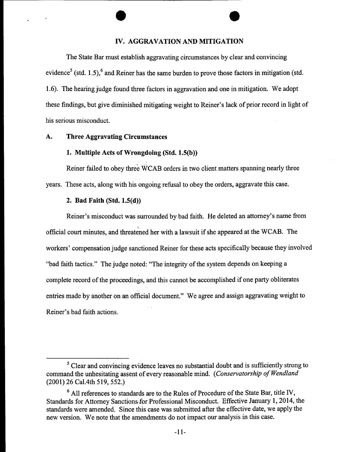## IV. AGGRAVATION AND MITIGATION

The State Bar must establish aggravating circumstances by clear and convincing evidence<sup>5</sup> (std. 1.5),<sup>6</sup> and Reiner has the same burden to prove those factors in mitigation (std. 1.6). The hearing judge found three factors in aggravation and one in mitigation. We adopt these findings, but give diminished mitigating weight to Reiner's lack of prior record in light of his serious misconduct.

## **A. Three Aggravating Circumstances**

#### 1. Multiple Acts of Wrongdoing (Std. 1.5(b))

Reiner failed to obey three WCAB orders in two client matters spanning nearly three years. These acts, along with his ongoing refusal to obey the orders, aggravate this case.

## **2. Bad Faith (Std. 1.5(d))**

Reiner's misconduct was surrounded by bad faith. He deleted an attorney's name from official court minutes, and threatened her with a lawsuit if she appeared at the WCAB. The workers' compensation judge sanctioned Reiner for these acts specifically because they involved "bad faith tactics." The judge noted: "The integrity of the system depends on keeping a complete record of the proceedings, and this cannot be accomplished if one party obliterates entries made by another on an official document." We agree and assign aggravating weight to Reiner's bad faith actions.

<sup>&</sup>lt;sup>5</sup> Clear and convincing evidence leaves no substantial doubt and is sufficiently strong to command the unhesitating assent of every reasonable mind. *(Conservatorship of Wendland* (2001) 26 Cal.4th 519, 552.)

 $<sup>6</sup>$  All references to standards are to the Rules of Procedure of the State Bar, title IV,</sup> Standards for Attorney Sanctions for Professional Misconduct. Effective January 1, 2014, the standards were amended. Since this case was submitted after the effective date, we apply the new version. We note that the amendments do not impact our analysis in this case.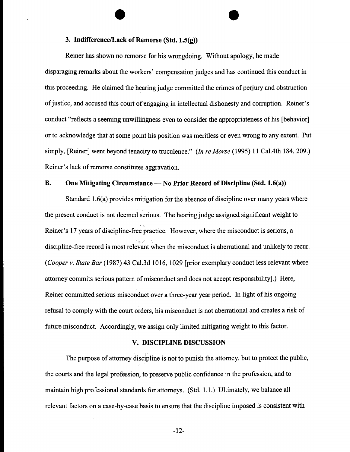## **3. Indifference/Lack of Remorse (Std. 1.5(g))**

Reiner has shown no remorse for his wrongdoing. Without apology, he made disparaging remarks about the workers' compensation judges and has continued this conduct in this proceeding. He claimed the hearing judge committed the crimes of perjury and obstruction of justice, and accused this court of engaging in intellectual dishonesty and corruption. Reiner's conduct "reflects a seeming unwillingness even to consider the appropriateness of his [behavior] or to acknowledge that at some point his position was meritless or even wrong to any extent. Put simply, [Reiner] went beyond tenacity to truculence." *(In re Morse* (1995) 11 Cal.4th 184, 209.) Reiner's lack of remorse constitutes aggravation.

#### **B.** One Mitigating Circumstance — No Prior Record of Discipline (Std. 1.6(a))

Standard 1.6(a) provides mitigation for the absence of discipline over many years where the present conduct is not deemed Serious. The hearing judge assigned significant weight to Reiner's 17 years of discipline-free practice. However, where the misconduct is serious, a discipline-free record is most relevant when the misconduct is aberrational and unlikely to recur. *(Cooper v. State Bar* (1987) 43 Cal.3d 1016, 1029 [prior exemplary conduct less relevant where attorney commits serious pattern of misconduct and does not accept responsibility].) Here, Reiner committed serious misconduct over a three-year year period. In light of his ongoing refusal to comply with the court orders, his misconduct is not aberrational and creates a risk of future misconduct. Accordingly, we assign only limited mitigating weight to this factor.

#### V. DISCIPLINE DISCUSSION

The purpose of attorney discipline is not to punish the attorney, but to protect the public, the courts and the legal profession, to preserve public confidence in the profession, and to maintain high professional standards for attorneys. (Std. 1.1.) Ultimately, we balance all relevant factors on a case-by-case basis to ensure that the discipline imposed is consistent with

-12-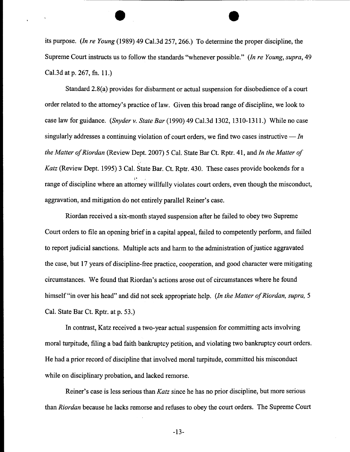its purpose. *(ln re Young* (1989) 49 Cal.3d 257, 266.) To determine the proper discipline, the Supreme Court instructs us to follow the standards "whenever possible." *(In re Young, supra,* 49 Cal.3d at p. 267, fn. 11.)

Standard 2.8(a) provides for disbarment or actual suspension for disobedience of a court order related to the attorney's practice of law. Given this broad range of discipline, we look to case law for guidance. *(Snyder v. State Bar* (1990) 49 Cal.3d 1302, 1310-1311 .) While no case singularly addresses a continuing violation of court orders, we find two cases instructive  $\frac{m}{m}$ *the Matter of Riordan* (Review Dept. 2007) 5 Cal. State Bar Ct. Rptr. 41, and *In the Matter of Katz* (Review Dept. 1995) 3 Cal. State Bar. Ct. Rptr. 430. These cases provide bookends for a range of discipline where an attorney willfully violates court orders, even though the misconduct, aggravation, and mitigation do not entirely parallel Reiner's case.

Riordan received a six-month stayed suspension after he failed to obey two Supreme Court orders to file an opening brief in a capital appeal, failed to competently perform, and failed to report judicial sanctions. Multiple acts and harm to the administration of justice aggravated the case, but 17 years of discipline-free practice, cooperation, and good character were mitigating circumstances. We found that Riordan's actions arose out of circumstances where he found himself "in over his head" and did not seek appropriate help. *(In the Matter of Riordan, supra, 5*) Cal. State Bar Ct. Rptr. at p. 53.)

In contrast, Katz received a two-year actual suspension for committing acts involving moral turpitude, filing a bad faith bankruptcy petition, and violating two bankruptcy court orders. He had a prior record of discipline that involved moral turpitude, committed his misconduct while on disciplinary probation, and lacked remorse.

Reiner's case is less serious than *Katz* since he has no prior discipline, but more serious than *Riordan* because he lacks remorse and refuses to obey the court orders. The Supreme Court

-13-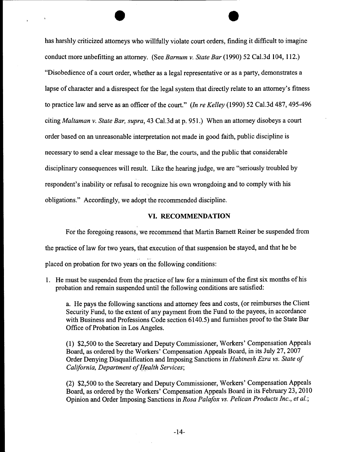has harshly criticized attomeys who willfully violate court orders, finding it difficult to imagine conduct more,unbefitting an attorney. (See *Barnum v. State Bar* (1990) 52 Cal.3d 104, 112.) "Disobedience of a court order, whether as a legal representative or as a party, demonstrates a lapse of character and a disrespect for the legal system that directly relate to an attomey's fitness to practice law and serve as an officer of the court." *(In re Kelley* (1990) 52 Cal.3d 487, 495-496 citing *Maltaman v. State Bar, supra,* 43 Cal.3d at p. 951.) When an attorney disobeys a court order based on an unreasonable interpretation not made in good faith, public discipline is necessary to send a clear message to the Bar, the courts, and the public that considerable disciplinary consequences will result. Like the hearing judge, we are "seriously troubled by respondent's inability or refusal to recognize his own wrongdoing and to comply with his obligations." Accordingly, we adopt the recommended discipline.

#### VI. RECOMMENDATION

For the foregoing reasons, we recommend that Martin Barnett Reiner be suspended from the practice of law for two years, that execution of that suspension be stayed, and that he be placed on probation for two years on the following conditions:

1. He must be suspended from the practice of law for a minimum of the first six months of his probation and remain suspended until the following conditions are satisfied:

a. He pays the following sanctions and attorney fees and costs, (or reimburses the Client Security Fund, to the extent of any payment from the Fund to the payees, in accordance with Business and Professions Code section 6140.5) and furnishes proof to the State Bar Office of Probation in Los Angeles.

(1) \$2,500 to the Secretary and Deputy Commissioner, Workers' Compensation Appeals Board, as ordered by the Workers' Compensation Appeals Board, in its July 27, 2007 Order Denying Disqualification and Imposing Sanctions in *Habtnesh Ezra vs. State of California, Department of Health Services;* 

(2) \$2,500 to the Secretary and Deputy Commissioner, Workers' Compensation Appeals Board, as ordered by the Workers' Compensation Appeals Board in its February 23, 2010 Opinion and Order Imposing Sanctions in *Rosa Palafox vs. Pelican Products Inc., et al.;*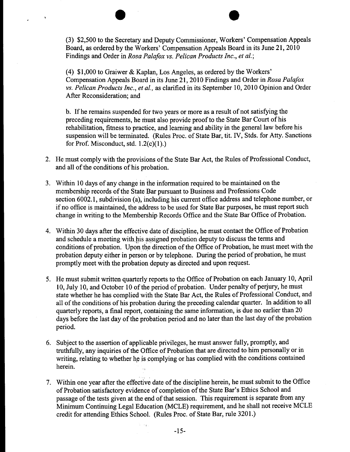(3) \$2,500 to the Secretary and Deputy Commissioner, Workers' Compensation Appeals Board, as ordered by the Workers' Compensation Appeals Board in its June 21, 2010 Findings and Order in *Rosa Palafox vs. Pelican Products lnc., et al.;*

 $\ddot{\phantom{1}}$ 

(4) \$1,000 to Graiwer & Kaplan, Los Angeles, as ordered by the Workers' Compensation Appeals Board in its June 21, 2010 Findings and Order in *Rosa Palafox vs. Pelican Products Inc., et al.,* as clarified in its September 10, 2010 Opinion and Order After Reconsideration; and

b. If he remains suspended for two years or more as a result of not satisfying the preceding requirements, he must also provide proof to the State Bar Court of his rehabilitation, fitness to practice, and learning and ability in the general law before his suspension will be terminated. (Rules Proc. of State Bar, tit. IV, Stds. for Atty. Sanctions for Prof. Misconduct, std. 1.2(c)(1).)

- 2. He must comply with the provisions of the State Bar Act, the Rules of Professional Conduct, and all of the conditions of his probation.
- Within 10 days of any change in the information required to be maintained on the membership records of the State Bar pursuant to Business and Professions Code section 6002.1, subdivision (a), including his current office address and telephone number, or if no office is maintained, the address to be used for State Bar purposes, he must report such change in writing to the Membership Records Office and the State Bar Office of Probation.
- Within 30 days after the effective date of discipline, he must contact the Office of Probation and schedule a meeting with his assigned probation deputy to discuss the terms and conditions of probation. Upon the direction of the Office of Probation, he must meet with the probation deputy either in person or by telephone. During the period of probation, he must promptly meet with the probation deputy as directed and upon request.
- 5. He must submit written quarterly reports to the Office of Probation on each January 10, April 10, July 10, and October 10 of the period of probation. Under penalty of perjury, he must state whether he has complied with the State Bar Act, the Rules of Professional Conduct, and all of the conditions of his probation during the preceding calendar quarter. In addition to all quarterly reports, a final report, containing the same information, is due no earlier than 20 days before the last day of the probation period and no later than the last day of the probation period.
- Subject to the assertion of applicable privileges, he must answer fully, promptly, and truthfully, any inquiries of the Office of Probation that are directed to him personally or in writing, relating to whether he is complying or has complied with the conditions contained herein.
- 7. Within one year after the effective date of the discipline herein, he must submit to the Office of Probation satisfactory evidence of completion of the State Bar's Ethics School and passage of the tests given at the end of that session. This requirement is separate from any Minimum Continuing Legal Education (MCLE) requirement, and he shall not receive MCLE credit for attending Ethics School. (Rules Proc. of State Bar, rule 3201.)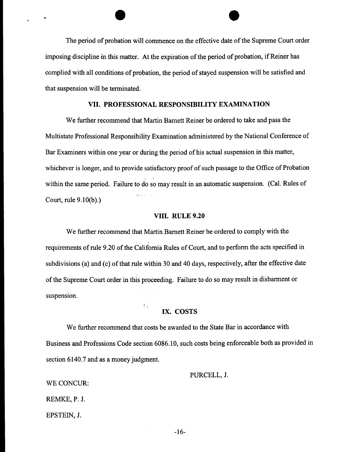The period of probation will commence on the effective date of the Supreme Court order imposing discipline in this matter. At the expiration of the period of probation, if Reiner has complied with all conditions of probation, the period of stayed suspension will be satisfied and that suspension will be terminated.

#### VII. PROFESSIONAL RESPONSIBILITY EXAMINATION

We further recommend that Martin Bamett Reiner be ordered to take and pass the Multistate Professional Responsibility Examination administered by the National Conference of Bar Examiners within one year or during the period of his actual suspension in this matter, whichever is longer, and to provide satisfactory proof of such passage to the Office of Probation within the same period. Failure to do so may result in an automatic suspension. (Cal. Rules of Court, rule 9.10(b).)

#### VIII. RULE 9.20

We further recommend that Martin Barnett Reiner be ordered to comply with the requirements of rule 9.20 of the California Rules of Court, and to perform the acts specified in subdivisions (a) and (c) of that rule within 30 and 40 days, respectively, after the effective date of the Supreme Court order in this proceeding. Failure to do so may result in disbarment or suspension.

#### IX. COSTS

 $\mathcal{L} = \mathcal{L} \mathcal{L}$  .

We further recommend that costs be awarded to the State Bar in accordance with Business and Professions Code section 6086.10, such costs being enforceable both as provided in section 6140.7 and as a money judgment.

#### PURCELL, J.

WE CONCUR:

**.** 

REMKE, P. J.

EPSTEIN, J.

-16-